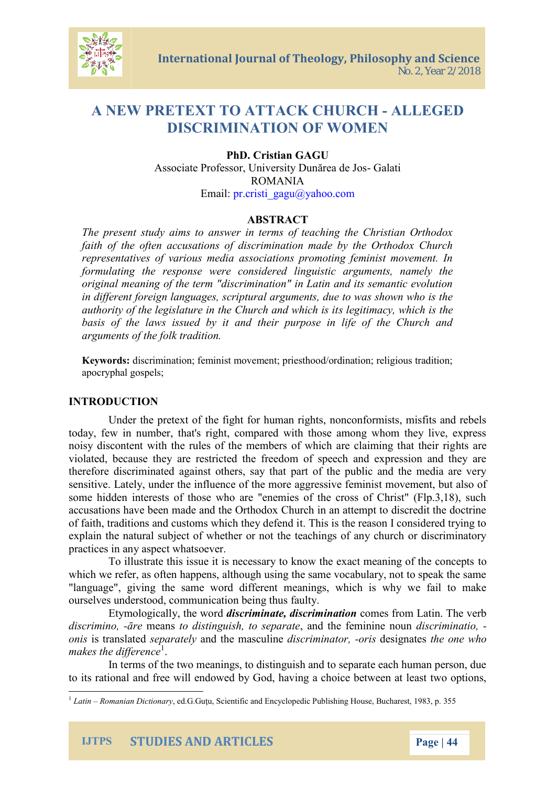# A NEW PRETEXT AOKACHUR-CAHLEGED DISCRIMINATION MOENWO

## PhD. Cristian GAGU Associate Professor, UniverGathatDun rea de Jos ROMANIA Emaph.cristi\_gagu@yahoo.com

#### ABSTRACT

The preseyntasmusd to answer in terms of teaching the Chris faith of the often accusations of discrimination made by representatives of various media associations promoting f formulating the response live regresistic arguments, namely the original meaning of the term "discrimination" in Latin and in different foreign languages, scriptural arguments, due to authority of the legislature in the  $\log h$  it is candom and which dissiplies basis of the laws issued by it and their purpose in life arguments of the folk tradition.

Keywordss: crimination; feminist movement; priesthood/ordination; apocryphal; gospels

### **INTRODUCNIO**

Under the pretext of the fight for human rights, noncon today, few in number, that's right, compared with those am noisy discontent with the rules of the members hotfs wahre chare violated, because they are restricted the freedom of speec therefore discriminated against others, say that part of the sensitive. Lately, under the influence of mthe emment, along treassion some hidden interests of those who are "enemies of the cross accusations have been made and the Orthodox Church in an of faith, traditions and customs Twhsicits the evrel as emiliconsidered to fraction the reason I considere explain the natural subject of whether or not the teachings practices in any aspect whatsoever.

To illustrate this issue it is necessary to know othe examination which we refer, as often happens, although using the same  $v$ "language", giving the same word different meanings, whic ourselves understood, communication being thus faulty.

Etymologically, ditshoeriwomoindate, discoimmes aftrion melatin. The v discrim-inremeants distinguish, to ansole pot an earlier monunimatio, oniss transdepead a teldy the madsicsuchime in-eatidate signative sone who  $m$  a k e s then  $d^1$  effere

In terms of the two meanings, to distinguish and to separate  $\alpha$ to its rational and free will endowed by God, having a choic



 $1$ Latin Roman Dain tion,  $\arg x$ , G.Gucu, Scientific and Encyclopedic Pub 3 is  $\sin n$  House, Buc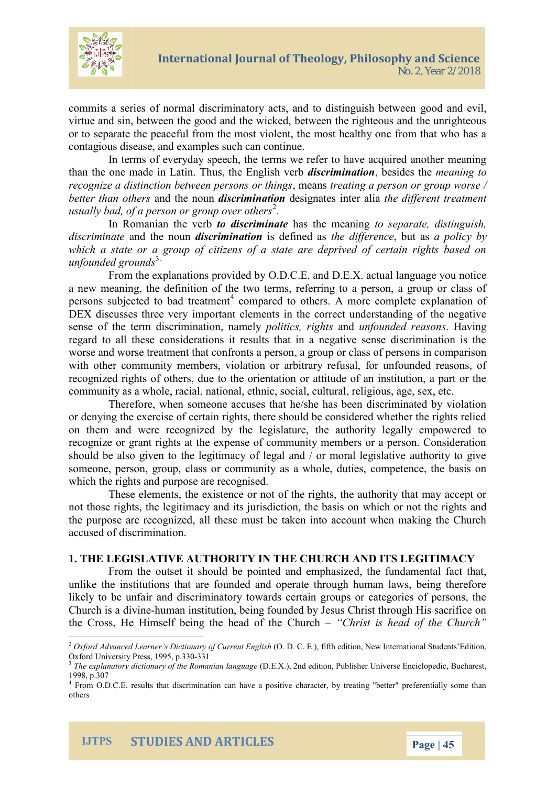

commits a series of normal discriminatory acts, and to distinguish between good and evil, virtue and sin, between the good and the wicked, between the righteous and the unrighteous or to separate the peaceful from the most violent, the most healthy one from that who has a contagious disease, and examples such can continue.

In terms of everyday speech, the terms we refer to have acquired another meaning than the one made in Latin. Thus, the English verb *discrimination*, besides the *meaning to recognize a distinction between persons or things*, means *treating a person or group worse / better than others* and the noun *discrimination* designates inter alia *the different treatment usually bad, of a person or group over others*<sup>2</sup> *.*

In Romanian the verb *to discriminate* has the meaning *to separate, distinguish, discriminate* and the noun *discrimination* is defined as *the difference*, but as *a policy by which a state or a group of citizens of a state are deprived of certain rights based on unfounded grounds*3.

From the explanations provided by O.D.C.E. and D.E.X. actual language you notice a new meaning, the definition of the two terms, referring to a person, a group or class of persons subjected to bad treatment<sup>4</sup> compared to others. A more complete explanation of DEX discusses three very important elements in the correct understanding of the negative sense of the term discrimination, namely *politics, rights* and *unfounded reasons*. Having regard to all these considerations it results that in a negative sense discrimination is the worse and worse treatment that confronts a person, a group or class of persons in comparison with other community members, violation or arbitrary refusal, for unfounded reasons, of recognized rights of others, due to the orientation or attitude of an institution, a part or the community as a whole, racial, national, ethnic, social, cultural, religious, age, sex, etc.

Therefore, when someone accuses that he/she has been discriminated by violation or denying the exercise of certain rights, there should be considered whether the rights relied on them and were recognized by the legislature, the authority legally empowered to recognize or grant rights at the expense of community members or a person. Consideration should be also given to the legitimacy of legal and / or moral legislative authority to give someone, person, group, class or community as a whole, duties, competence, the basis on which the rights and purpose are recognised.

These elements, the existence or not of the rights, the authority that may accept or not those rights, the legitimacy and its jurisdiction, the basis on which or not the rights and the purpose are recognized, all these must be taken into account when making the Church accused of discrimination.

#### **1. THE LEGISLATIVE AUTHORITY IN THE CHURCH AND ITS LEGITIMACY**

From the outset it should be pointed and emphasized, the fundamental fact that, unlike the institutions that are founded and operate through human laws, being therefore likely to be unfair and discriminatory towards certain groups or categories of persons, the Church is a divine-human institution, being founded by Jesus Christ through His sacrifice on the Cross, He Himself being the head of the Church – *"Christ is head of the Church"*

<sup>2</sup> *Oxford Advanced Learner's Dictionary of Current English* (O. D. C. E.), fifth edition, New International Students'Edition, Oxford University Press, 1995, p.330-331<br><sup>3</sup> The explanatory dictionary of the Boma

*The explanatory dictionary of the Romanian language* (D.E.X.), 2nd edition, Publisher Universe Enciclopedic, Bucharest, 1998, p.307

<sup>&</sup>lt;sup>4</sup> From O.D.C.E. results that discrimination can have a positive character, by treating "better" preferentially some than others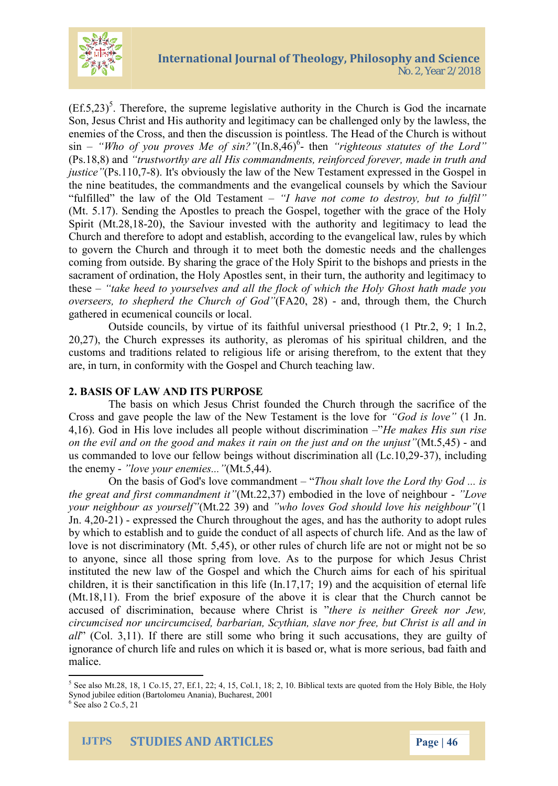

 $(Ef.5,23)^5$ . Therefore, the supreme legislative authority in the Church is God the incarnate Son, Jesus Christ and His authority and legitimacy can be challenged only by the lawless, the enemies of the Cross, and then the discussion is pointless. The Head of the Church is without sin – "Who of you proves Me of sin?"(In.8,46)<sup>6</sup>- then "righteous statutes of the Lord" (Ps.18,8) and *"trustworthy are all His commandments, reinforced forever, made in truth and justice* "(Ps.110,7-8). It's obviously the law of the New Testament expressed in the Gospel in the nine beatitudes, the commandments and the evangelical counsels by which the Saviour "fulfilled" the law of the Old Testament – *"I have not come to destroy, but to fulfil"* (Mt. 5.17). Sending the Apostles to preach the Gospel, together with the grace of the Holy Spirit (Mt.28,18-20), the Saviour invested with the authority and legitimacy to lead the Church and therefore to adopt and establish, according to the evangelical law, rules by which to govern the Church and through it to meet both the domestic needs and the challenges coming from outside. By sharing the grace of the Holy Spirit to the bishops and priests in the sacrament of ordination, the Holy Apostles sent, in their turn, the authority and legitimacy to these – *"take heed to yourselves and all the flock of which the Holy Ghost hath made you overseers, to shepherd the Church of God"*(FA20, 28) - and, through them, the Church gathered in ecumenical councils or local.

Outside councils, by virtue of its faithful universal priesthood (1 Ptr.2, 9; 1 In.2, 20,27), the Church expresses its authority, as pleromas of his spiritual children, and the customs and traditions related to religious life or arising therefrom, to the extent that they are, in turn, in conformity with the Gospel and Church teaching law.

## **2. BASIS OF LAW AND ITS PURPOSE**

The basis on which Jesus Christ founded the Church through the sacrifice of the Cross and gave people the law of the New Testament is the love for *"God is love"* (1 Jn. 4,16). God in His love includes all people without discrimination –"*He makes His sun rise on the evil and on the good and makes it rain on the just and on the unjust"*(Mt.5,45) - and us commanded to love our fellow beings without discrimination all (Lc.10,29-37), including the enemy - *"love your enemies..."*(Mt.5,44).

On the basis of God's love commandment – "*Thou shalt love the Lord thy God ... is the great and first commandment it"*(Mt.22,37) embodied in the love of neighbour - *"Love your neighbour as yourself"*(Mt.22 39) and *"who loves God should love his neighbour"*(1 Jn. 4,20-21) - expressed the Church throughout the ages, and has the authority to adopt rules by which to establish and to guide the conduct of all aspects of church life. And as the law of love is not discriminatory (Mt. 5,45), or other rules of church life are not or might not be so to anyone, since all those spring from love. As to the purpose for which Jesus Christ instituted the new law of the Gospel and which the Church aims for each of his spiritual children, it is their sanctification in this life (In.17,17; 19) and the acquisition of eternal life (Mt.18,11). From the brief exposure of the above it is clear that the Church cannot be accused of discrimination, because where Christ is "*there is neither Greek nor Jew, circumcised nor uncircumcised, barbarian, Scythian, slave nor free, but Christ is all and in all*" (Col. 3,11). If there are still some who bring it such accusations, they are guilty of ignorance of church life and rules on which it is based or, what is more serious, bad faith and malice.

<sup>&</sup>lt;sup>5</sup> See also Mt.28, 18, 1 Co.15, 27, Ef.1, 22; 4, 15, Col.1, 18; 2, 10. Biblical texts are quoted from the Holy Bible, the Holy Synod jubilee edition (Bartolomeu Anania), Bucharest, 2001

 $6$  See also 2 Co.5, 21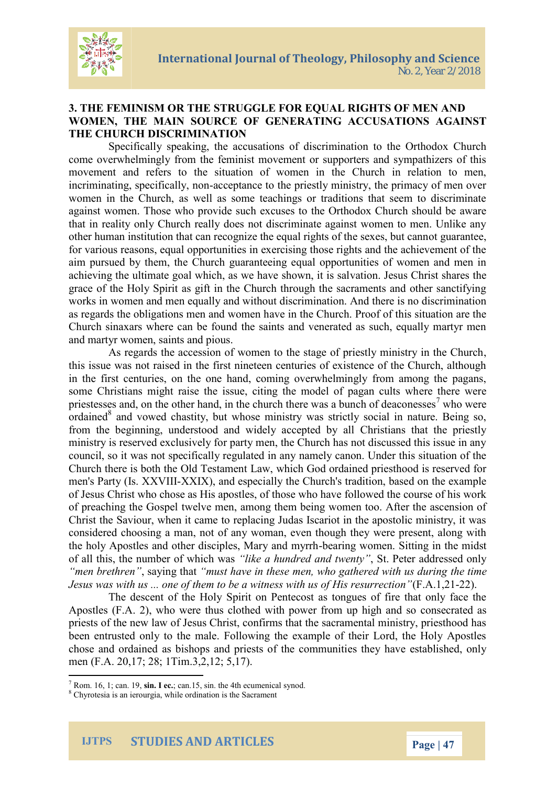

## **3. THE FEMINISM OR THE STRUGGLE FOR EQUAL RIGHTS OF MEN AND WOMEN, THE MAIN SOURCE OF GENERATING ACCUSATIONS AGAINST THE CHURCH DISCRIMINATION**

Specifically speaking, the accusations of discrimination to the Orthodox Church come overwhelmingly from the feminist movement or supporters and sympathizers of this movement and refers to the situation of women in the Church in relation to men, incriminating, specifically, non-acceptance to the priestly ministry, the primacy of men over women in the Church, as well as some teachings or traditions that seem to discriminate against women. Those who provide such excuses to the Orthodox Church should be aware that in reality only Church really does not discriminate against women to men. Unlike any other human institution that can recognize the equal rights of the sexes, but cannot guarantee, for various reasons, equal opportunities in exercising those rights and the achievement of the aim pursued by them, the Church guaranteeing equal opportunities of women and men in achieving the ultimate goal which, as we have shown, it is salvation. Jesus Christ shares the grace of the Holy Spirit as gift in the Church through the sacraments and other sanctifying works in women and men equally and without discrimination. And there is no discrimination as regards the obligations men and women have in the Church. Proof of this situation are the Church sinaxars where can be found the saints and venerated as such, equally martyr men and martyr women, saints and pious.

As regards the accession of women to the stage of priestly ministry in the Church, this issue was not raised in the first nineteen centuries of existence of the Church, although in the first centuries, on the one hand, coming overwhelmingly from among the pagans, some Christians might raise the issue, citing the model of pagan cults where there were priestesses and, on the other hand, in the church there was a bunch of deaconesses<sup>7</sup> who were ordained $8$  and vowed chastity, but whose ministry was strictly social in nature. Being so, from the beginning, understood and widely accepted by all Christians that the priestly ministry is reserved exclusively for party men, the Church has not discussed this issue in any council, so it was not specifically regulated in any namely canon. Under this situation of the Church there is both the Old Testament Law, which God ordained priesthood is reserved for men's Party (Is. XXVIII-XXIX), and especially the Church's tradition, based on the example of Jesus Christ who chose as His apostles, of those who have followed the course of his work of preaching the Gospel twelve men, among them being women too. After the ascension of Christ the Saviour, when it came to replacing Judas Iscariot in the apostolic ministry, it was considered choosing a man, not of any woman, even though they were present, along with the holy Apostles and other disciples, Mary and myrrh-bearing women. Sitting in the midst of all this, the number of which was *"like a hundred and twenty"*, St. Peter addressed only *"men brethren"*, saying that *"must have in these men, who gathered with us during the time Jesus was with us ... one of them to be a witness with us of His resurrection"*(F.A.1,21-22).

The descent of the Holy Spirit on Pentecost as tongues of fire that only face the Apostles (F.A. 2), who were thus clothed with power from up high and so consecrated as priests of the new law of Jesus Christ, confirms that the sacramental ministry, priesthood has been entrusted only to the male. Following the example of their Lord, the Holy Apostles chose and ordained as bishops and priests of the communities they have established, only men (F.A. 20,17; 28; 1Tim.3,2,12; 5,17).

 $^7$  Rom. 16, 1; can. 19, sin. I ec.; can. 15, sin. the 4th ecumenical synod.

<sup>8</sup> Chyrotesia is an ierourgia, while ordination is the Sacrament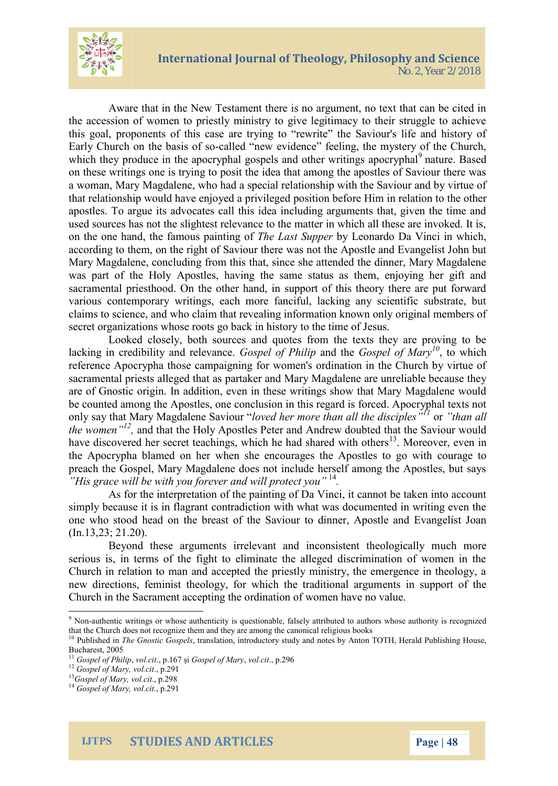

Aware that in the New Testament there is no argument, no text that can be cited in the accession of women to priestly ministry to give legitimacy to their struggle to achieve this goal, proponents of this case are trying to "rewrite" the Saviour's life and history of Early Church on the basis of so-called "new evidence" feeling, the mystery of the Church, which they produce in the apocryphal gospels and other writings apocryphal<sup>9</sup> nature. Based on these writings one is trying to posit the idea that among the apostles of Saviour there was a woman, Mary Magdalene, who had a special relationship with the Saviour and by virtue of that relationship would have enjoyed a privileged position before Him in relation to the other apostles. To argue its advocates call this idea including arguments that, given the time and used sources has not the slightest relevance to the matter in which all these are invoked. It is, on the one hand, the famous painting of *The Last Supper* by Leonardo Da Vinci in which, according to them, on the right of Saviour there was not the Apostle and Evangelist John but Mary Magdalene, concluding from this that, since she attended the dinner, Mary Magdalene was part of the Holy Apostles, having the same status as them, enjoying her gift and sacramental priesthood. On the other hand, in support of this theory there are put forward various contemporary writings, each more fanciful, lacking any scientific substrate, but claims to science, and who claim that revealing information known only original members of secret organizations whose roots go back in history to the time of Jesus.

Looked closely, both sources and quotes from the texts they are proving to be lacking in credibility and relevance. *Gospel of Philip* and the *Gospel of Mary<sup>10</sup>*, to which reference Apocrypha those campaigning for women's ordination in the Church by virtue of sacramental priests alleged that as partaker and Mary Magdalene are unreliable because they are of Gnostic origin. In addition, even in these writings show that Mary Magdalene would be counted among the Apostles, one conclusion in this regard is forced. Apocryphal texts not only say that Mary Magdalene Saviour "*loved her more than all the disciples"<sup>11</sup>* or *"than all the women"<sup>12</sup> ,* and that the Holy Apostles Peter and Andrew doubted that the Saviour would have discovered her secret teachings, which he had shared with others<sup>13</sup>. Moreover, even in the Apocrypha blamed on her when she encourages the Apostles to go with courage to preach the Gospel, Mary Magdalene does not include herself among the Apostles, but says *"His grace will be with you forever and will protect you"* <sup>14</sup> *.*

As for the interpretation of the painting of Da Vinci, it cannot be taken into account simply because it is in flagrant contradiction with what was documented in writing even the one who stood head on the breast of the Saviour to dinner, Apostle and Evangelist Joan (In.13,23; 21.20).

Beyond these arguments irrelevant and inconsistent theologically much more serious is, in terms of the fight to eliminate the alleged discrimination of women in the Church in relation to man and accepted the priestly ministry, the emergence in theology, a new directions, feminist theology, for which the traditional arguments in support of the Church in the Sacrament accepting the ordination of women have no value.

<sup>9</sup> Non-authentic writings or whose authenticity is questionable, falsely attributed to authors whose authority is recognized that the Church does not recognize them and they are among the canonical religious books

<sup>&</sup>lt;sup>10</sup> Published in *The Gnostic Gospels*, translation, introductory study and notes by Anton TOTH, Herald Publishing House, Bucharest, 2005

<sup>11</sup> *Gospel of Philip*, *vol.cit*., p.167 și *Gospel of Mary*, *vol.cit*., p.296

<sup>12</sup> *Gospel of Mary, vol.cit*., p.291

<sup>13</sup>*Gospel of Mary, vol.cit*., p.298

<sup>14</sup> *Gospel of Mary, vol.cit*., p.291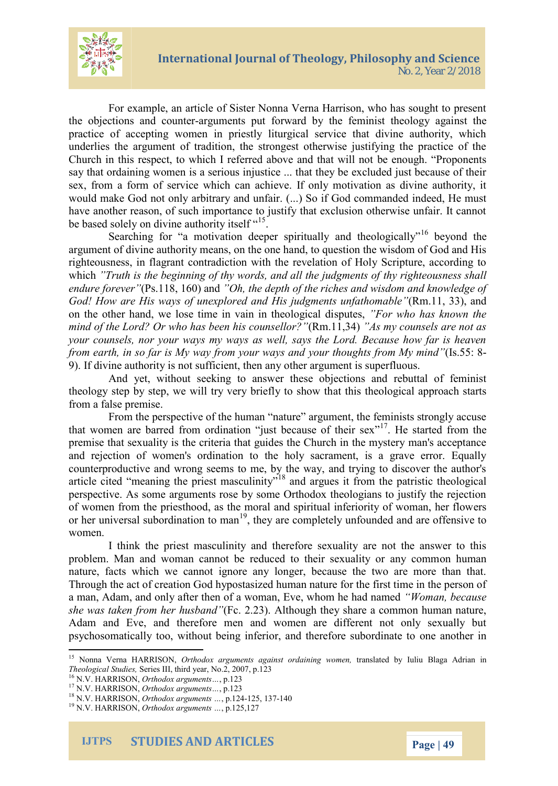

For example, an article of Sister Nonna Verna Harrison, who has sought to present the objections and counter-arguments put forward by the feminist theology against the practice of accepting women in priestly liturgical service that divine authority, which underlies the argument of tradition, the strongest otherwise justifying the practice of the Church in this respect, to which I referred above and that will not be enough. "Proponents say that ordaining women is a serious injustice ... that they be excluded just because of their sex, from a form of service which can achieve. If only motivation as divine authority, it would make God not only arbitrary and unfair. (...) So if God commanded indeed, He must have another reason, of such importance to justify that exclusion otherwise unfair. It cannot be based solely on divine authority itself  $15$ .

Searching for "a motivation deeper spiritually and theologically"<sup>16</sup> beyond the argument of divine authority means, on the one hand, to question the wisdom of God and His righteousness, in flagrant contradiction with the revelation of Holy Scripture, according to which *"Truth is the beginning of thy words, and all the judgments of thy righteousness shall endure forever"*(Ps.118, 160) and *"Oh, the depth of the riches and wisdom and knowledge of God! How are His ways of unexplored and His judgments unfathomable"*(Rm.11, 33), and on the other hand, we lose time in vain in theological disputes, *"For who has known the mind of the Lord? Or who has been his counsellor?"*(Rm.11,34) *"As my counsels are not as your counsels, nor your ways my ways as well, says the Lord. Because how far is heaven from earth, in so far is My way from your ways and your thoughts from My mind"*(Is.55: 8- 9). If divine authority is not sufficient, then any other argument is superfluous.

And yet, without seeking to answer these objections and rebuttal of feminist theology step by step, we will try very briefly to show that this theological approach starts from a false premise.

From the perspective of the human "nature" argument, the feminists strongly accuse that women are barred from ordination "just because of their sex"<sup>17</sup>. He started from the premise that sexuality is the criteria that guides the Church in the mystery man's acceptance and rejection of women's ordination to the holy sacrament, is a grave error. Equally counterproductive and wrong seems to me, by the way, and trying to discover the author's article cited "meaning the priest masculinity"<sup>18</sup> and argues it from the patristic theological perspective. As some arguments rose by some Orthodox theologians to justify the rejection of women from the priesthood, as the moral and spiritual inferiority of woman, her flowers or her universal subordination to man<sup>19</sup>, they are completely unfounded and are offensive to women.

I think the priest masculinity and therefore sexuality are not the answer to this problem. Man and woman cannot be reduced to their sexuality or any common human nature, facts which we cannot ignore any longer, because the two are more than that. Through the act of creation God hypostasized human nature for the first time in the person of a man, Adam, and only after then of a woman, Eve, whom he had named *"Woman, because she was taken from her husband"*(Fc. 2.23). Although they share a common human nature, Adam and Eve, and therefore men and women are different not only sexually but psychosomatically too, without being inferior, and therefore subordinate to one another in

<sup>15</sup> Nonna Verna HARRISON, *Orthodox arguments against ordaining women,* translated by Iuliu Blaga Adrian in *Theological Studies,* Series III, third year, No.2, 2007, p.123

<sup>16</sup> N.V. HARRISON, *Orthodox arguments…*, p.123

<sup>17</sup> N.V. HARRISON, *Orthodox arguments…*, p.123

<sup>18</sup> N.V. HARRISON, *Orthodox arguments …*, p.124-125, 137-140

<sup>19</sup> N.V. HARRISON, *Orthodox arguments …*, p.125,127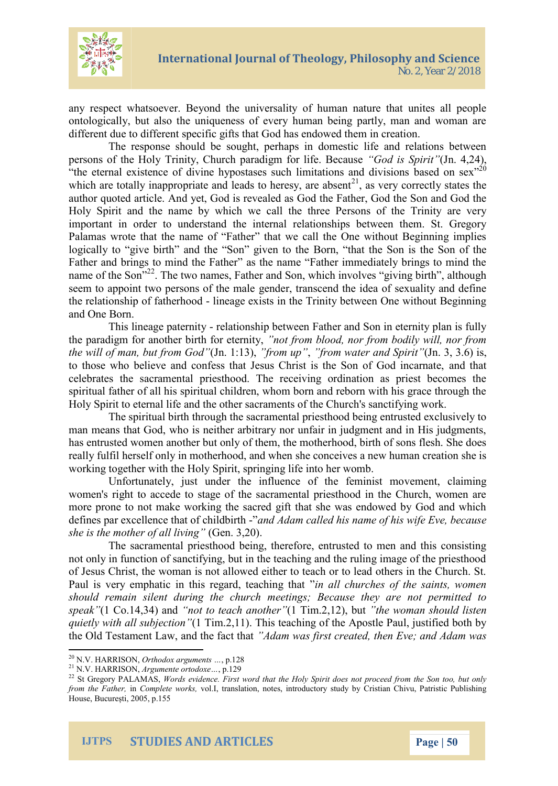

any respect whatsoever. Beyond the universality of human nature that unites all people ontologically, but also the uniqueness of every human being partly, man and woman are different due to different specific gifts that God has endowed them in creation.

The response should be sought, perhaps in domestic life and relations between persons of the Holy Trinity, Church paradigm for life. Because *"God is Spirit"*(Jn. 4,24), "the eternal existence of divine hypostases such limitations and divisions based on sex $^{320}$ which are totally inappropriate and leads to heresy, are absent<sup>21</sup>, as very correctly states the author quoted article. And yet, God is revealed as God the Father, God the Son and God the Holy Spirit and the name by which we call the three Persons of the Trinity are very important in order to understand the internal relationships between them. St. Gregory Palamas wrote that the name of "Father" that we call the One without Beginning implies logically to "give birth" and the "Son" given to the Born, "that the Son is the Son of the Father and brings to mind the Father" as the name "Father immediately brings to mind the name of the Son<sup>"22</sup>. The two names, Father and Son, which involves "giving birth", although seem to appoint two persons of the male gender, transcend the idea of sexuality and define the relationship of fatherhood - lineage exists in the Trinity between One without Beginning and One Born.

This lineage paternity - relationship between Father and Son in eternity plan is fully the paradigm for another birth for eternity, *"not from blood, nor from bodily will, nor from the will of man, but from God"*(Jn. 1:13), *"from up"*, *"from water and Spirit"*(Jn. 3, 3.6) is, to those who believe and confess that Jesus Christ is the Son of God incarnate, and that celebrates the sacramental priesthood. The receiving ordination as priest becomes the spiritual father of all his spiritual children, whom born and reborn with his grace through the Holy Spirit to eternal life and the other sacraments of the Church's sanctifying work.

The spiritual birth through the sacramental priesthood being entrusted exclusively to man means that God, who is neither arbitrary nor unfair in judgment and in His judgments, has entrusted women another but only of them, the motherhood, birth of sons flesh. She does really fulfil herself only in motherhood, and when she conceives a new human creation she is working together with the Holy Spirit, springing life into her womb.

Unfortunately, just under the influence of the feminist movement, claiming women's right to accede to stage of the sacramental priesthood in the Church, women are more prone to not make working the sacred gift that she was endowed by God and which defines par excellence that of childbirth -"*and Adam called his name of his wife Eve, because she is the mother of all living"* (Gen. 3,20).

The sacramental priesthood being, therefore, entrusted to men and this consisting not only in function of sanctifying, but in the teaching and the ruling image of the priesthood of Jesus Christ, the woman is not allowed either to teach or to lead others in the Church. St. Paul is very emphatic in this regard, teaching that "*in all churches of the saints, women should remain silent during the church meetings; Because they are not permitted to speak"*(1 Co.14,34) and *"not to teach another"*(1 Tim.2,12), but *"the woman should listen quietly with all subjection"*(1 Tim.2,11). This teaching of the Apostle Paul, justified both by the Old Testament Law, and the fact that *"Adam was first created, then Eve; and Adam was*

<sup>20</sup> N.V. HARRISON, *Orthodox arguments …*, p.128

<sup>21</sup> N.V. HARRISON, *Argumente ortodoxe…*, p.129

<sup>&</sup>lt;sup>22</sup> St Gregory PALAMAS, *Words evidence. First word that the Holy Spirit does not proceed from the Son too, but only from the Father,* in *Complete works,* vol.I, translation, notes, introductory study by Cristian Chivu, Patristic Publishing House, București, 2005, p.155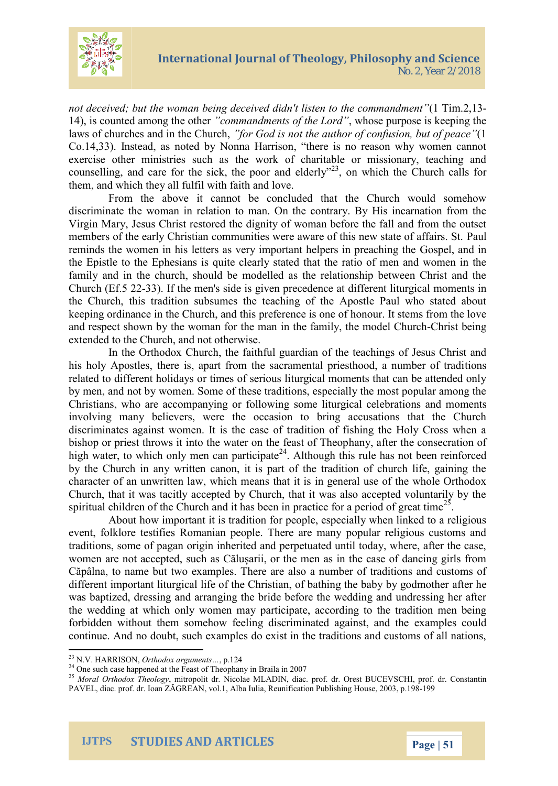

*not deceived; but the woman being deceived didn't listen to the commandment"*(1 Tim.2,13- 14), is counted among the other *"commandments of the Lord"*, whose purpose is keeping the laws of churches and in the Church, *"for God is not the author of confusion, but of peace"*(1 Co.14,33). Instead, as noted by Nonna Harrison, "there is no reason why women cannot exercise other ministries such as the work of charitable or missionary, teaching and counselling, and care for the sick, the poor and elderly<sup>"23</sup>, on which the Church calls for them, and which they all fulfil with faith and love.

From the above it cannot be concluded that the Church would somehow discriminate the woman in relation to man. On the contrary. By His incarnation from the Virgin Mary, Jesus Christ restored the dignity of woman before the fall and from the outset members of the early Christian communities were aware of this new state of affairs. St. Paul reminds the women in his letters as very important helpers in preaching the Gospel, and in the Epistle to the Ephesians is quite clearly stated that the ratio of men and women in the family and in the church, should be modelled as the relationship between Christ and the Church (Ef.5 22-33). If the men's side is given precedence at different liturgical moments in the Church, this tradition subsumes the teaching of the Apostle Paul who stated about keeping ordinance in the Church, and this preference is one of honour. It stems from the love and respect shown by the woman for the man in the family, the model Church-Christ being extended to the Church, and not otherwise.

In the Orthodox Church, the faithful guardian of the teachings of Jesus Christ and his holy Apostles, there is, apart from the sacramental priesthood, a number of traditions related to different holidays or times of serious liturgical moments that can be attended only by men, and not by women. Some of these traditions, especially the most popular among the Christians, who are accompanying or following some liturgical celebrations and moments involving many believers, were the occasion to bring accusations that the Church discriminates against women. It is the case of tradition of fishing the Holy Cross when a bishop or priest throws it into the water on the feast of Theophany, after the consecration of high water, to which only men can participate<sup>24</sup>. Although this rule has not been reinforced by the Church in any written canon, it is part of the tradition of church life, gaining the character of an unwritten law, which means that it is in general use of the whole Orthodox Church, that it was tacitly accepted by Church, that it was also accepted voluntarily by the spiritual children of the Church and it has been in practice for a period of great time<sup>25</sup>.

About how important it is tradition for people, especially when linked to a religious event, folklore testifies Romanian people. There are many popular religious customs and traditions, some of pagan origin inherited and perpetuated until today, where, after the case, women are not accepted, such as Călușarii, or the men as in the case of dancing girls from Căpâlna, to name but two examples. There are also a number of traditions and customs of different important liturgical life of the Christian, of bathing the baby by godmother after he was baptized, dressing and arranging the bride before the wedding and undressing her after the wedding at which only women may participate, according to the tradition men being forbidden without them somehow feeling discriminated against, and the examples could continue. And no doubt, such examples do exist in the traditions and customs of all nations,

<sup>23</sup> N.V. HARRISON, *Orthodox arguments…*, p.124

 $24$  One such case happened at the Feast of Theophany in Braila in 2007

<sup>25</sup> *Moral Orthodox Theology*, mitropolit dr. Nicolae MLADIN, diac. prof. dr. Orest BUCEVSCHI, prof. dr. Constantin PAVEL, diac. prof. dr. Ioan ZĂGREAN, vol.1, Alba Iulia, Reunification Publishing House, 2003, p.198-199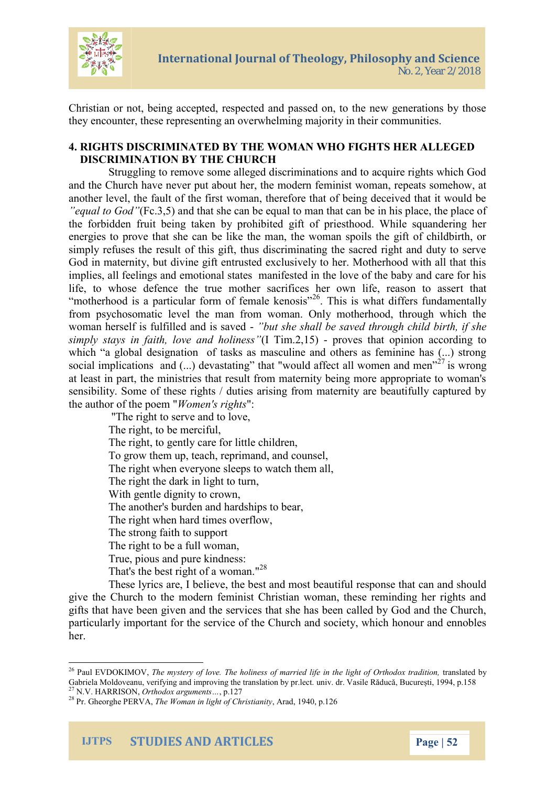

Christian or not, being accepted, respected and passed on, to the new generations by those they encounter, these representing an overwhelming majority in their communities.

## **4. RIGHTS DISCRIMINATED BY THE WOMAN WHO FIGHTS HER ALLEGED DISCRIMINATION BY THE CHURCH**

Struggling to remove some alleged discriminations and to acquire rights which God and the Church have never put about her, the modern feminist woman, repeats somehow, at another level, the fault of the first woman, therefore that of being deceived that it would be *"equal to God"*(Fc.3,5) and that she can be equal to man that can be in his place, the place of the forbidden fruit being taken by prohibited gift of priesthood. While squandering her energies to prove that she can be like the man, the woman spoils the gift of childbirth, or simply refuses the result of this gift, thus discriminating the sacred right and duty to serve God in maternity, but divine gift entrusted exclusively to her. Motherhood with all that this implies, all feelings and emotional states manifested in the love of the baby and care for his life, to whose defence the true mother sacrifices her own life, reason to assert that "motherhood is a particular form of female kenosis"<sup>26</sup>. This is what differs fundamentally from psychosomatic level the man from woman. Only motherhood, through which the woman herself is fulfilled and is saved - *"but she shall be saved through child birth, if she simply stays in faith, love and holiness"*(I Tim.2,15) - proves that opinion according to which "a global designation of tasks as masculine and others as feminine has (...) strong social implications and  $(...)$  devastating" that "would affect all women and men"<sup>27</sup> is wrong at least in part, the ministries that result from maternity being more appropriate to woman's sensibility. Some of these rights / duties arising from maternity are beautifully captured by the author of the poem "*Women's rights*":

"The right to serve and to love, The right, to be merciful, The right, to gently care for little children, To grow them up, teach, reprimand, and counsel, The right when everyone sleeps to watch them all, The right the dark in light to turn, With gentle dignity to crown, The another's burden and hardships to bear, The right when hard times overflow, The strong faith to support The right to be a full woman, True, pious and pure kindness: That's the best right of a woman."<sup>28</sup>

These lyrics are, I believe, the best and most beautiful response that can and should give the Church to the modern feminist Christian woman, these reminding her rights and gifts that have been given and the services that she has been called by God and the Church, particularly important for the service of the Church and society, which honour and ennobles her.



<sup>26</sup> Paul EVDOKIMOV, *The mystery of love. The holiness of married life in the light of Orthodox tradition,* translated by Gabriela Moldoveanu, verifying and improving the translation by pr.lect. univ. dr. Vasile Răducă, București, 1994, p.158<br><sup>27</sup> N.V. HARRISON, Outherly in the translation by pr.lect. univ. dr. Vasile Răducă, București, 1994, <sup>27</sup> N.V. HARRISON, *Orthodox arguments…*, p.127

<sup>28</sup> Pr. Gheorghe PERVA, *The Woman in light of Christianity*, Arad, 1940, p.126